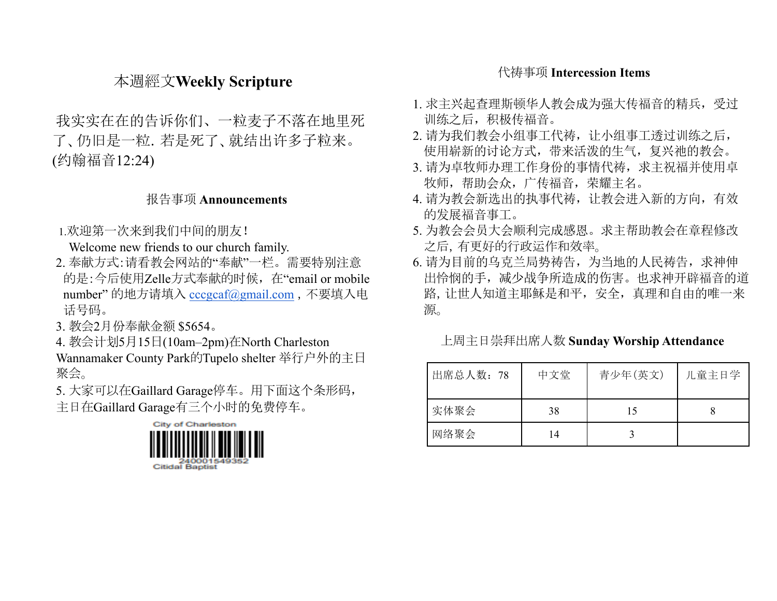# 本週經文**Weekly Scripture**

我实实在在的告诉你们、一粒麦子不落在地里死 了、仍旧是一粒.若是死了、就结出许多子粒来。 (约翰福音12:24)

## 报告事项 **Announcements**

1.欢迎第一次来到我们中间的朋友!

Welcome new friends to our church family.

- 2. 奉献方式:请看教会网站的"奉献"一栏。需要特别注意 的是:今后使用Zelle方式奉献的时候,在"email or mobile number" 的地方请填入 [cccgcaf@gmail.com](mailto:cccgcaf@gmail.com) ,不要填入电 话号码。
- 3. 教会2月份奉献金额 \$5654。
- 4. 教会计划5月15日(10am–2pm)在North Charleston Wannamaker County Park的Tupelo shelter 举行户外的主日 聚会。
- 5. 大家可以在Gaillard Garage停车。用下面这个条形码, 主日在Gaillard Garage有三个小时的免费停车。



# 代祷事项 **Intercession Items**

- 1. 求主兴起查理斯顿华人教会成为强大传福音的精兵,受过 训练之后,积极传福音。
- 2. 请为我们教会小组事工代祷,让小组事工透过训练之后, 使用崭新的讨论方式,带来活泼的生气,复兴祂的教会。
- 3. 请为卓牧师办理工作身份的事情代祷, 求主祝福并使用卓 牧师,帮助会众,广传福音,荣耀主名。
- 4. 请为教会新选出的执事代祷,让教会进入新的方向,有效 的发展福音事工。
- 5. 为教会会员大会顺利完成感恩。求主帮助教会在章程修改 之后,有更好的行政运作和效率。
- 6. 请为目前的乌克兰局势祷告,为当地的人民祷告, 求神伸 出怜悯的手,减少战争所造成的伤害。也求神开辟福音的道 路,让世人知道主耶稣是和平,安全,真理和自由的唯一来 源。

#### 上周主日崇拜出席人数 **Sunday Worship Attendance**

| 出席总人数: 78 | 中文堂 | 青少年(英文) | 儿童主日学 |
|-----------|-----|---------|-------|
| 实体聚会      | 38  | 15      |       |
| 网络聚会      | 14  |         |       |